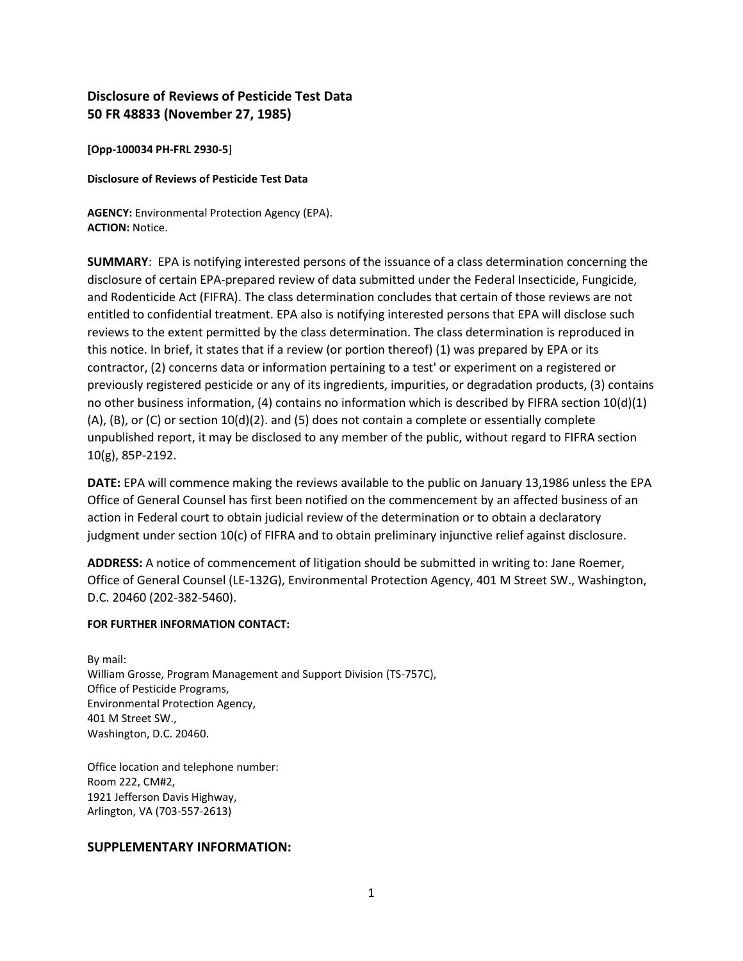## **Disclosure of Reviews of Pesticide Test Data 50 FR 48833 (November 27, 1985)**

**[Opp-100034 PH-FRL 2930-5**]

#### **Disclosure of Reviews of Pesticide Test Data**

**AGENCY:** Environmental Protection Agency (EPA). **ACTION:** Notice.

**SUMMARY**: EPA is notifying interested persons of the issuance of a class determination concerning the disclosure of certain EPA-prepared review of data submitted under the Federal Insecticide, Fungicide, and Rodenticide Act (FIFRA). The class determination concludes that certain of those reviews are not entitled to confidential treatment. EPA also is notifying interested persons that EPA will disclose such reviews to the extent permitted by the class determination. The class determination is reproduced in this notice. In brief, it states that if a review (or portion thereof) (1) was prepared by EPA or its contractor, (2) concerns data or information pertaining to a test' or experiment on a registered or previously registered pesticide or any of its ingredients, impurities, or degradation products, (3) contains no other business information, (4) contains no information which is described by FIFRA section 10(d)(1) (A), (B), or (C) or section 10(d)(2). and (5) does not contain a complete or essentially complete unpublished report, it may be disclosed to any member of the public, without regard to FIFRA section 10(g), 85P-2192.

**DATE:** EPA will commence making the reviews available to the public on January 13,1986 unless the EPA Office of General Counsel has first been notified on the commencement by an affected business of an action in Federal court to obtain judicial review of the determination or to obtain a declaratory judgment under section 10(c) of FIFRA and to obtain preliminary injunctive relief against disclosure.

**ADDRESS:** A notice of commencement of litigation should be submitted in writing to: Jane Roemer, Office of General Counsel (LE-132G), Environmental Protection Agency, 401 M Street SW., Washington, D.C. 20460 (202-382-5460).

#### **FOR FURTHER INFORMATION CONTACT:**

By mail: William Grosse, Program Management and Support Division (TS-757C), Office of Pesticide Programs, Environmental Protection Agency, 401 M Street SW., Washington, D.C. 20460.

Office location and telephone number: Room 222, CM#2, 1921 Jefferson Davis Highway, Arlington, VA (703-557-2613)

## **SUPPLEMENTARY INFORMATION:**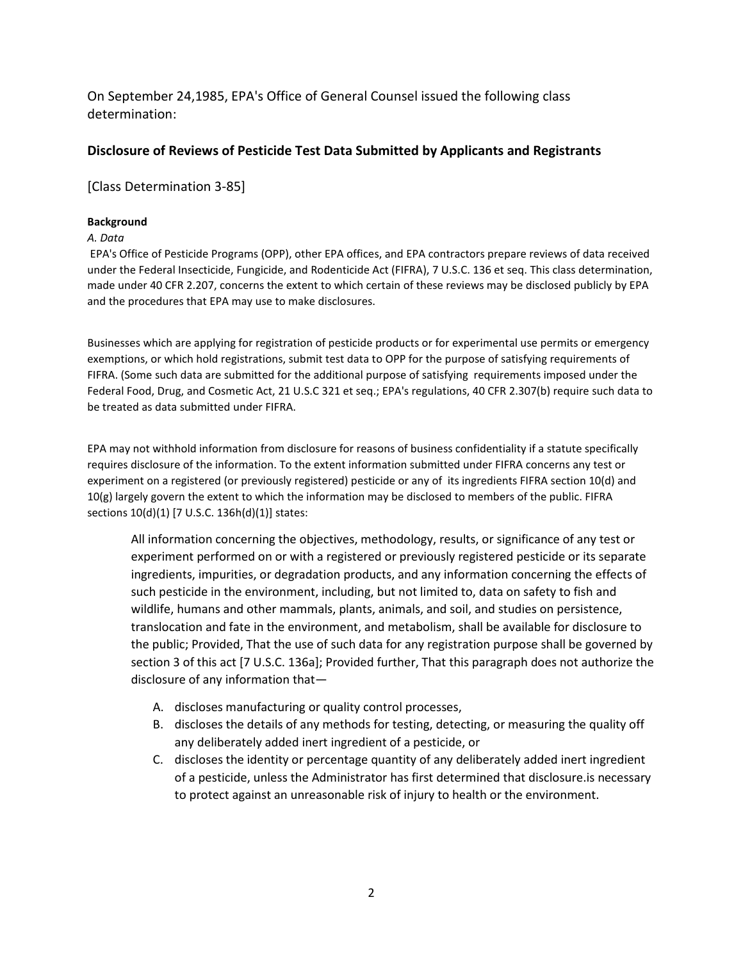On September 24,1985, EPA's Office of General Counsel issued the following class determination:

## **Disclosure of Reviews of Pesticide Test Data Submitted by Applicants and Registrants**

[Class Determination 3-85]

## **Background**

#### *A. Data*

EPA's Office of Pesticide Programs (OPP), other EPA offices, and EPA contractors prepare reviews of data received under the Federal Insecticide, Fungicide, and Rodenticide Act (FIFRA), 7 U.S.C. 136 et seq. This class determination, made under 40 CFR 2.207, concerns the extent to which certain of these reviews may be disclosed publicly by EPA and the procedures that EPA may use to make disclosures.

Businesses which are applying for registration of pesticide products or for experimental use permits or emergency exemptions, or which hold registrations, submit test data to OPP for the purpose of satisfying requirements of FIFRA. (Some such data are submitted for the additional purpose of satisfying requirements imposed under the Federal Food, Drug, and Cosmetic Act, 21 U.S.C 321 et seq.; EPA's regulations, 40 CFR 2.307(b) require such data to be treated as data submitted under FIFRA.

EPA may not withhold information from disclosure for reasons of business confidentiality if a statute specifically requires disclosure of the information. To the extent information submitted under FIFRA concerns any test or experiment on a registered (or previously registered) pesticide or any of its ingredients FIFRA section 10(d) and 10(g) largely govern the extent to which the information may be disclosed to members of the public. FIFRA sections 10(d)(1) [7 U.S.C. 136h(d)(1)] states:

All information concerning the objectives, methodology, results, or significance of any test or experiment performed on or with a registered or previously registered pesticide or its separate ingredients, impurities, or degradation products, and any information concerning the effects of such pesticide in the environment, including, but not limited to, data on safety to fish and wildlife, humans and other mammals, plants, animals, and soil, and studies on persistence, translocation and fate in the environment, and metabolism, shall be available for disclosure to the public; Provided, That the use of such data for any registration purpose shall be governed by section 3 of this act [7 U.S.C. 136a]; Provided further, That this paragraph does not authorize the disclosure of any information that—

- A. discloses manufacturing or quality control processes,
- B. discloses the details of any methods for testing, detecting, or measuring the quality off any deliberately added inert ingredient of a pesticide, or
- C. discloses the identity or percentage quantity of any deliberately added inert ingredient of a pesticide, unless the Administrator has first determined that disclosure.is necessary to protect against an unreasonable risk of injury to health or the environment.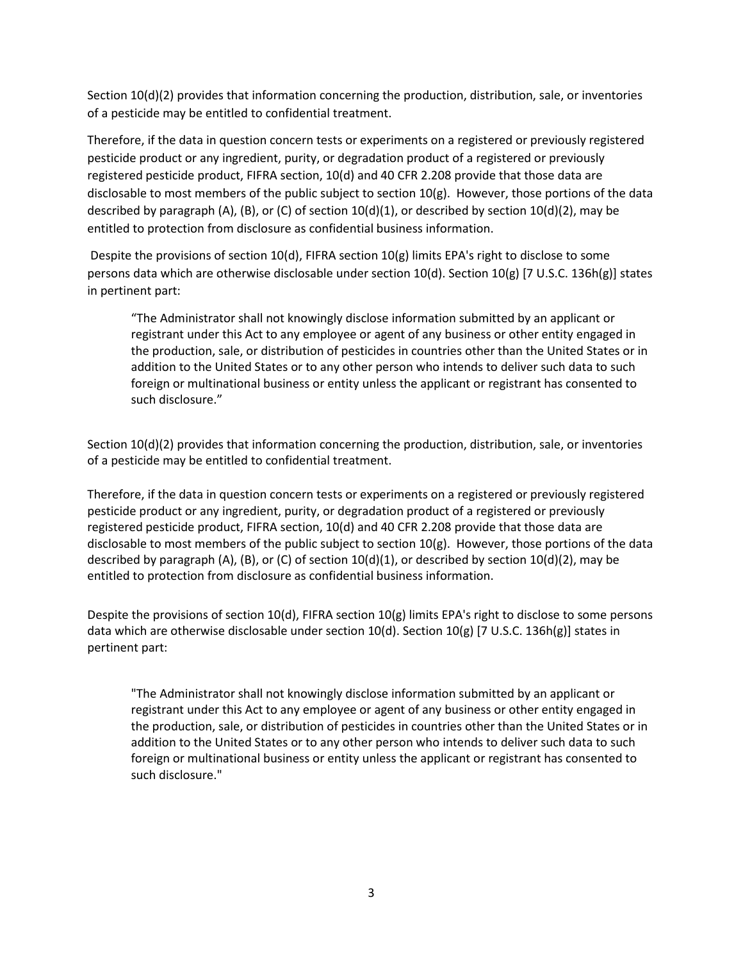Section 10(d)(2) provides that information concerning the production, distribution, sale, or inventories of a pesticide may be entitled to confidential treatment.

Therefore, if the data in question concern tests or experiments on a registered or previously registered pesticide product or any ingredient, purity, or degradation product of a registered or previously registered pesticide product, FIFRA section, 10(d) and 40 CFR 2.208 provide that those data are disclosable to most members of the public subject to section 10(g). However, those portions of the data described by paragraph (A), (B), or (C) of section  $10(d)(1)$ , or described by section  $10(d)(2)$ , may be entitled to protection from disclosure as confidential business information.

Despite the provisions of section 10(d), FIFRA section 10(g) limits EPA's right to disclose to some persons data which are otherwise disclosable under section 10(d). Section 10(g) [7 U.S.C. 136h(g)] states in pertinent part:

"The Administrator shall not knowingly disclose information submitted by an applicant or registrant under this Act to any employee or agent of any business or other entity engaged in the production, sale, or distribution of pesticides in countries other than the United States or in addition to the United States or to any other person who intends to deliver such data to such foreign or multinational business or entity unless the applicant or registrant has consented to such disclosure."

Section 10(d)(2) provides that information concerning the production, distribution, sale, or inventories of a pesticide may be entitled to confidential treatment.

Therefore, if the data in question concern tests or experiments on a registered or previously registered pesticide product or any ingredient, purity, or degradation product of a registered or previously registered pesticide product, FIFRA section, 10(d) and 40 CFR 2.208 provide that those data are disclosable to most members of the public subject to section 10(g). However, those portions of the data described by paragraph (A), (B), or (C) of section  $10(d)(1)$ , or described by section  $10(d)(2)$ , may be entitled to protection from disclosure as confidential business information.

Despite the provisions of section 10(d), FIFRA section 10(g) limits EPA's right to disclose to some persons data which are otherwise disclosable under section  $10(d)$ . Section  $10(g)$  [7 U.S.C. 136h(g)] states in pertinent part:

"The Administrator shall not knowingly disclose information submitted by an applicant or registrant under this Act to any employee or agent of any business or other entity engaged in the production, sale, or distribution of pesticides in countries other than the United States or in addition to the United States or to any other person who intends to deliver such data to such foreign or multinational business or entity unless the applicant or registrant has consented to such disclosure."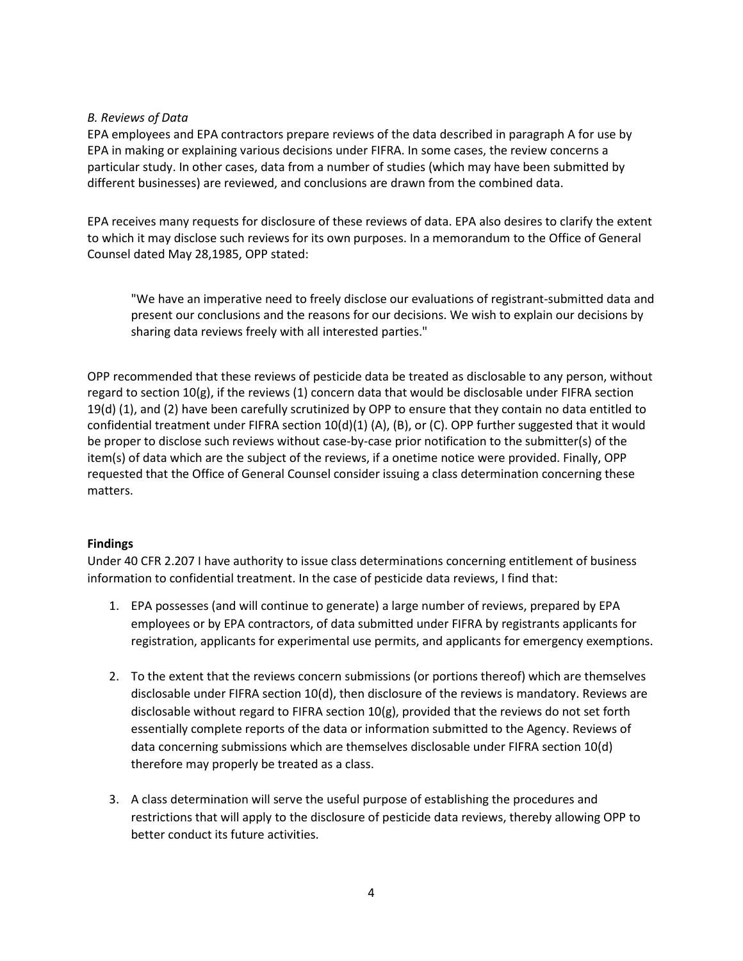## *B. Reviews of Data*

EPA employees and EPA contractors prepare reviews of the data described in paragraph A for use by EPA in making or explaining various decisions under FIFRA. In some cases, the review concerns a particular study. In other cases, data from a number of studies (which may have been submitted by different businesses) are reviewed, and conclusions are drawn from the combined data.

EPA receives many requests for disclosure of these reviews of data. EPA also desires to clarify the extent to which it may disclose such reviews for its own purposes. In a memorandum to the Office of General Counsel dated May 28,1985, OPP stated:

"We have an imperative need to freely disclose our evaluations of registrant-submitted data and present our conclusions and the reasons for our decisions. We wish to explain our decisions by sharing data reviews freely with all interested parties."

OPP recommended that these reviews of pesticide data be treated as disclosable to any person, without regard to section 10(g), if the reviews (1) concern data that would be disclosable under FIFRA section 19(d) (1), and (2) have been carefully scrutinized by OPP to ensure that they contain no data entitled to confidential treatment under FIFRA section  $10(d)(1)$  (A), (B), or (C). OPP further suggested that it would be proper to disclose such reviews without case-by-case prior notification to the submitter(s) of the item(s) of data which are the subject of the reviews, if a onetime notice were provided. Finally, OPP requested that the Office of General Counsel consider issuing a class determination concerning these matters.

## **Findings**

Under 40 CFR 2.207 I have authority to issue class determinations concerning entitlement of business information to confidential treatment. In the case of pesticide data reviews, I find that:

- 1. EPA possesses (and will continue to generate) a large number of reviews, prepared by EPA employees or by EPA contractors, of data submitted under FIFRA by registrants applicants for registration, applicants for experimental use permits, and applicants for emergency exemptions.
- 2. To the extent that the reviews concern submissions (or portions thereof) which are themselves disclosable under FIFRA section 10(d), then disclosure of the reviews is mandatory. Reviews are disclosable without regard to FIFRA section 10(g), provided that the reviews do not set forth essentially complete reports of the data or information submitted to the Agency. Reviews of data concerning submissions which are themselves disclosable under FIFRA section 10(d) therefore may properly be treated as a class.
- 3. A class determination will serve the useful purpose of establishing the procedures and restrictions that will apply to the disclosure of pesticide data reviews, thereby allowing OPP to better conduct its future activities.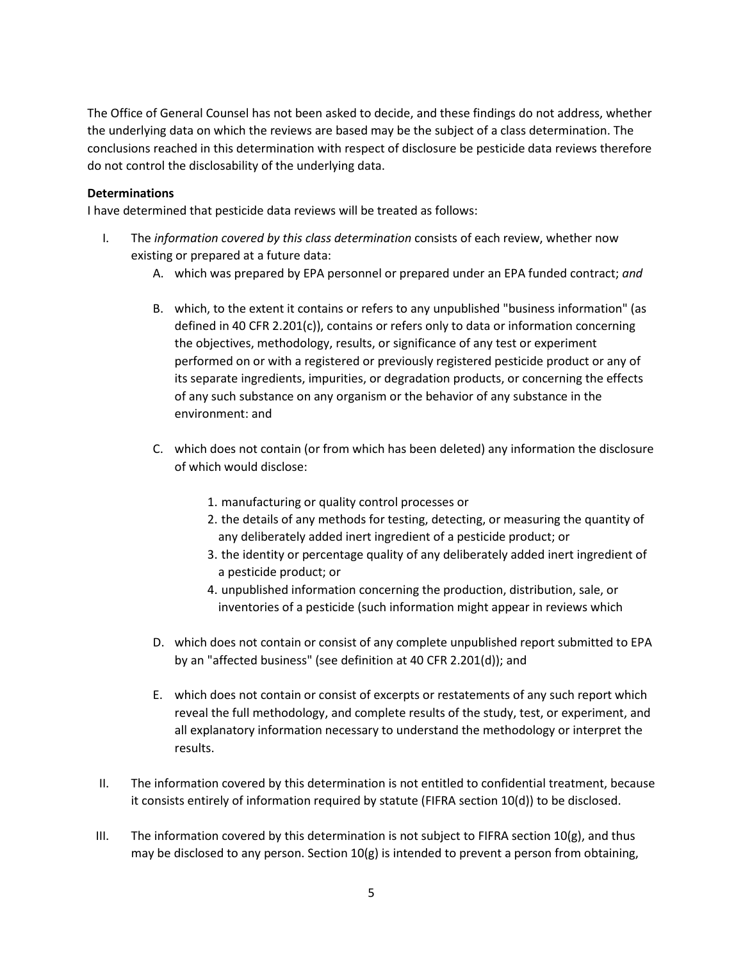The Office of General Counsel has not been asked to decide, and these findings do not address, whether the underlying data on which the reviews are based may be the subject of a class determination. The conclusions reached in this determination with respect of disclosure be pesticide data reviews therefore do not control the disclosability of the underlying data.

## **Determinations**

I have determined that pesticide data reviews will be treated as follows:

- I. The *information covered by this class determination* consists of each review, whether now existing or prepared at a future data:
	- A. which was prepared by EPA personnel or prepared under an EPA funded contract; *and*
	- B. which, to the extent it contains or refers to any unpublished "business information" (as defined in 40 CFR 2.201(c)), contains or refers only to data or information concerning the objectives, methodology, results, or significance of any test or experiment performed on or with a registered or previously registered pesticide product or any of its separate ingredients, impurities, or degradation products, or concerning the effects of any such substance on any organism or the behavior of any substance in the environment: and
	- C. which does not contain (or from which has been deleted) any information the disclosure of which would disclose:
		- 1. manufacturing or quality control processes or
		- 2. the details of any methods for testing, detecting, or measuring the quantity of any deliberately added inert ingredient of a pesticide product; or
		- 3. the identity or percentage quality of any deliberately added inert ingredient of a pesticide product; or
		- 4. unpublished information concerning the production, distribution, sale, or inventories of a pesticide (such information might appear in reviews which
	- D. which does not contain or consist of any complete unpublished report submitted to EPA by an "affected business" (see definition at 40 CFR 2.201(d)); and
	- E. which does not contain or consist of excerpts or restatements of any such report which reveal the full methodology, and complete results of the study, test, or experiment, and all explanatory information necessary to understand the methodology or interpret the results.
- II. The information covered by this determination is not entitled to confidential treatment, because it consists entirely of information required by statute (FIFRA section 10(d)) to be disclosed.
- III. The information covered by this determination is not subject to FIFRA section  $10(g)$ , and thus may be disclosed to any person. Section 10(g) is intended to prevent a person from obtaining,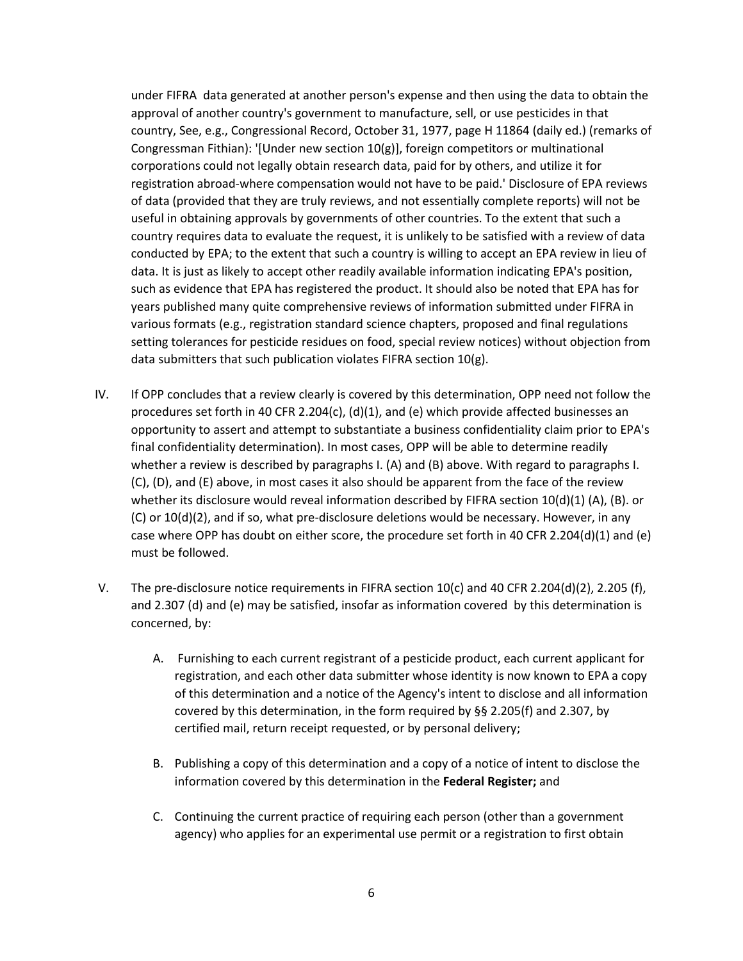under FIFRA data generated at another person's expense and then using the data to obtain the approval of another country's government to manufacture, sell, or use pesticides in that country, See, e.g., Congressional Record, October 31, 1977, page H 11864 (daily ed.) (remarks of Congressman Fithian): '[Under new section 10(g)], foreign competitors or multinational corporations could not legally obtain research data, paid for by others, and utilize it for registration abroad-where compensation would not have to be paid.' Disclosure of EPA reviews of data (provided that they are truly reviews, and not essentially complete reports) will not be useful in obtaining approvals by governments of other countries. To the extent that such a country requires data to evaluate the request, it is unlikely to be satisfied with a review of data conducted by EPA; to the extent that such a country is willing to accept an EPA review in lieu of data. It is just as likely to accept other readily available information indicating EPA's position, such as evidence that EPA has registered the product. It should also be noted that EPA has for years published many quite comprehensive reviews of information submitted under FIFRA in various formats (e.g., registration standard science chapters, proposed and final regulations setting tolerances for pesticide residues on food, special review notices) without objection from data submitters that such publication violates FIFRA section 10(g).

- IV. If OPP concludes that a review clearly is covered by this determination, OPP need not follow the procedures set forth in 40 CFR 2.204(c), (d)(1), and (e) which provide affected businesses an opportunity to assert and attempt to substantiate a business confidentiality claim prior to EPA's final confidentiality determination). In most cases, OPP will be able to determine readily whether a review is described by paragraphs I. (A) and (B) above. With regard to paragraphs I. (C), (D), and (E) above, in most cases it also should be apparent from the face of the review whether its disclosure would reveal information described by FIFRA section 10(d)(1) (A), (B). or (C) or 10(d)(2), and if so, what pre-disclosure deletions would be necessary. However, in any case where OPP has doubt on either score, the procedure set forth in 40 CFR 2.204(d)(1) and (e) must be followed.
- V. The pre-disclosure notice requirements in FIFRA section 10(c) and 40 CFR 2.204(d)(2), 2.205 (f), and 2.307 (d) and (e) may be satisfied, insofar as information covered by this determination is concerned, by:
	- A. Furnishing to each current registrant of a pesticide product, each current applicant for registration, and each other data submitter whose identity is now known to EPA a copy of this determination and a notice of the Agency's intent to disclose and all information covered by this determination, in the form required by §§ 2.205(f) and 2.307, by certified mail, return receipt requested, or by personal delivery;
	- B. Publishing a copy of this determination and a copy of a notice of intent to disclose the information covered by this determination in the **Federal Register;** and
	- C. Continuing the current practice of requiring each person (other than a government agency) who applies for an experimental use permit or a registration to first obtain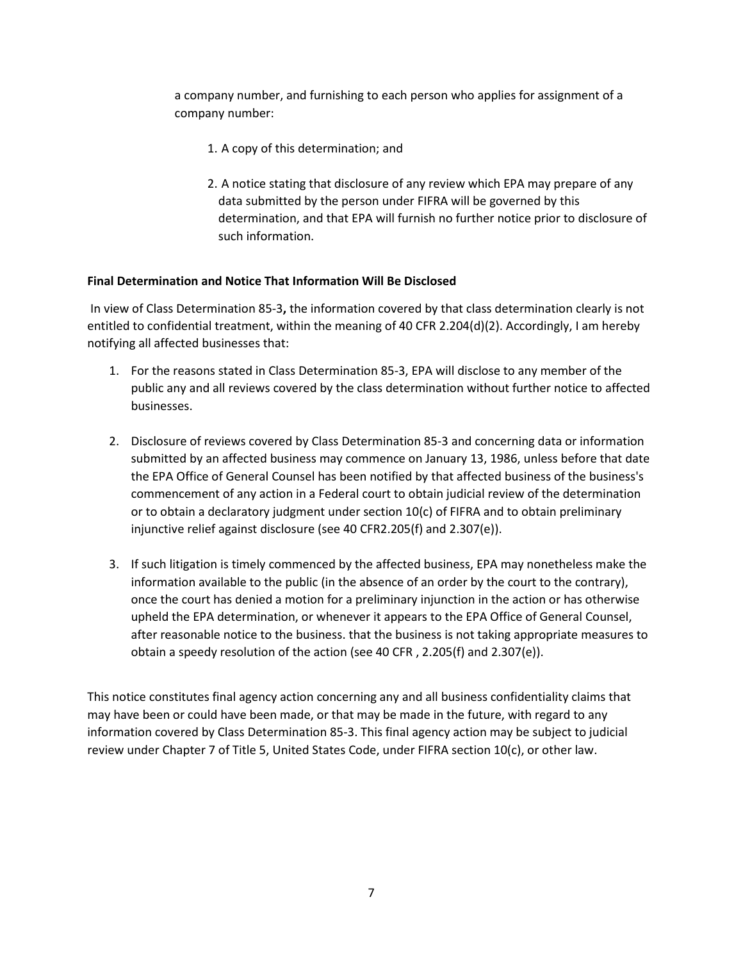a company number, and furnishing to each person who applies for assignment of a company number:

- 1. A copy of this determination; and
- 2. A notice stating that disclosure of any review which EPA may prepare of any data submitted by the person under FIFRA will be governed by this determination, and that EPA will furnish no further notice prior to disclosure of such information.

## **Final Determination and Notice That Information Will Be Disclosed**

In view of Class Determination 85-3**,** the information covered by that class determination clearly is not entitled to confidential treatment, within the meaning of 40 CFR 2.204(d)(2). Accordingly, I am hereby notifying all affected businesses that:

- 1. For the reasons stated in Class Determination 85-3, EPA will disclose to any member of the public any and all reviews covered by the class determination without further notice to affected businesses.
- 2. Disclosure of reviews covered by Class Determination 85-3 and concerning data or information submitted by an affected business may commence on January 13, 1986, unless before that date the EPA Office of General Counsel has been notified by that affected business of the business's commencement of any action in a Federal court to obtain judicial review of the determination or to obtain a declaratory judgment under section 10(c) of FIFRA and to obtain preliminary injunctive relief against disclosure (see 40 CFR2.205(f) and 2.307(e)).
- 3. If such litigation is timely commenced by the affected business, EPA may nonetheless make the information available to the public (in the absence of an order by the court to the contrary), once the court has denied a motion for a preliminary injunction in the action or has otherwise upheld the EPA determination, or whenever it appears to the EPA Office of General Counsel, after reasonable notice to the business. that the business is not taking appropriate measures to obtain a speedy resolution of the action (see 40 CFR , 2.205(f) and 2.307(e)).

This notice constitutes final agency action concerning any and all business confidentiality claims that may have been or could have been made, or that may be made in the future, with regard to any information covered by Class Determination 85-3. This final agency action may be subject to judicial review under Chapter 7 of Title 5, United States Code, under FIFRA section 10(c), or other law.